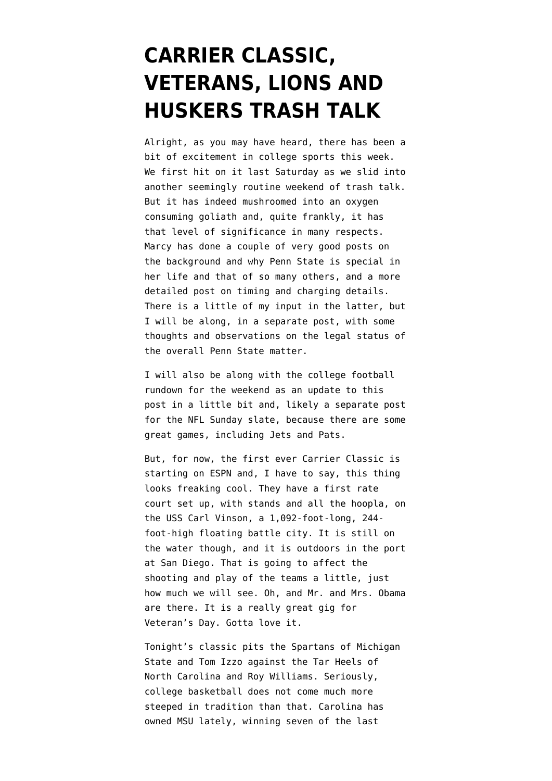## **[CARRIER CLASSIC,](https://www.emptywheel.net/2011/11/11/carrier-classic-veterans-lions-and-huskers-trash-talk/) [VETERANS, LIONS AND](https://www.emptywheel.net/2011/11/11/carrier-classic-veterans-lions-and-huskers-trash-talk/) [HUSKERS TRASH TALK](https://www.emptywheel.net/2011/11/11/carrier-classic-veterans-lions-and-huskers-trash-talk/)**

Alright, as you may have heard, there has been a bit of excitement in college sports this week. We first hit on it last Saturday as we slid into another seemingly routine weekend of trash talk. But it has indeed mushroomed into an oxygen consuming goliath and, quite frankly, it has that level of significance in many respects. Marcy has done a couple of very good posts [on](http://www.emptywheel.net/2011/11/10/on-joepa/) [the background](http://www.emptywheel.net/2011/11/10/on-joepa/) and why Penn State is special in her life and that of so many others, and a [more](http://www.emptywheel.net/2011/11/11/penn-states-evil-game-of-telephone/) [detailed post on timing and charging details](http://www.emptywheel.net/2011/11/11/penn-states-evil-game-of-telephone/). There is a little of my input in the latter, but I will be along, in a separate post, with some thoughts and observations on the legal status of the overall Penn State matter.

I will also be along with the college football rundown for the weekend as an update to this post in a little bit and, likely a separate post for the NFL Sunday slate, because there are some great games, including Jets and Pats.

But, for now, the first ever Carrier Classic is starting on ESPN and, I have to say, this thing looks freaking cool. They have a first rate court set up, with stands and all the hoopla, on the USS Carl Vinson, a 1,092-foot-long, 244 foot-high floating battle city. It is still on the water though, and it is outdoors in the port at San Diego. That is going to affect the shooting and play of the teams a little, just how much we will see. Oh, and Mr. and Mrs. Obama are there. It is a really great gig for Veteran's Day. Gotta love it.

Tonight's classic pits the Spartans of Michigan State and Tom Izzo against the Tar Heels of North Carolina and Roy Williams. Seriously, college basketball does not come much more steeped in tradition than that. Carolina has owned MSU lately, winning seven of the last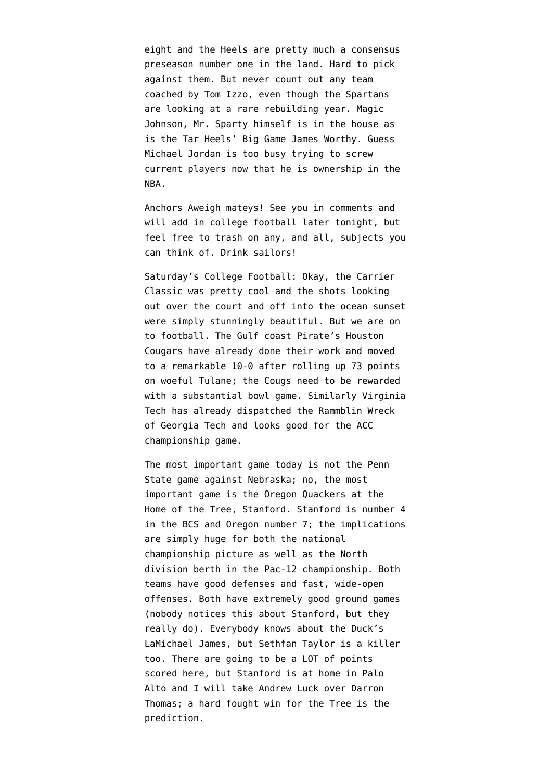eight and the Heels are pretty much a consensus preseason number one in the land. Hard to pick against them. But never count out any team coached by Tom Izzo, even though the Spartans are looking at a rare rebuilding year. Magic Johnson, Mr. Sparty himself is in the house as is the Tar Heels' Big Game James Worthy. Guess Michael Jordan is too busy trying to screw current players now that he is ownership in the NBA.

Anchors Aweigh mateys! See you in comments and will add in college football later tonight, but feel free to trash on any, and all, subjects you can think of. Drink sailors!

Saturday's College Football: Okay, the Carrier Classic was pretty cool and the shots looking out over the court and off into the ocean sunset were simply stunningly beautiful. But we are on to football. The Gulf coast Pirate's Houston Cougars have already done their work and moved to a remarkable 10-0 after rolling up 73 points on woeful Tulane; the Cougs need to be rewarded with a substantial bowl game. Similarly Virginia Tech has already dispatched the Rammblin Wreck of Georgia Tech and looks good for the ACC championship game.

The most important game today is not the Penn State game against Nebraska; no, the most important game is the Oregon Quackers at the Home of the Tree, Stanford. Stanford is number 4 in the BCS and Oregon number 7; the implications are simply huge for both the national championship picture as well as the North division berth in the Pac-12 championship. Both teams have good defenses and fast, wide-open offenses. Both have extremely good ground games (nobody notices this about Stanford, but they really do). Everybody knows about the Duck's LaMichael James, but Sethfan Taylor is a killer too. There are going to be a LOT of points scored here, but Stanford is at home in Palo Alto and I will take Andrew Luck over Darron Thomas; a hard fought win for the Tree is the prediction.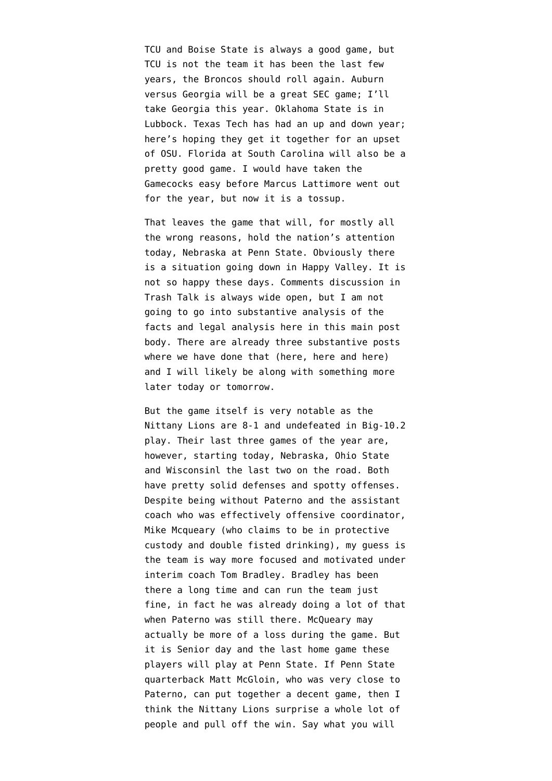TCU and Boise State is always a good game, but TCU is not the team it has been the last few years, the Broncos should roll again. Auburn versus Georgia will be a great SEC game; I'll take Georgia this year. Oklahoma State is in Lubbock. Texas Tech has had an up and down year; here's hoping they get it together for an upset of OSU. Florida at South Carolina will also be a pretty good game. I would have taken the Gamecocks easy before Marcus Lattimore went out for the year, but now it is a tossup.

That leaves the game that will, for mostly all the wrong reasons, hold the nation's attention today, Nebraska at Penn State. Obviously there is a situation going down in Happy Valley. It is not so happy these days. Comments discussion in Trash Talk is always wide open, but I am not going to go into substantive analysis of the facts and legal analysis here in this main post body. There are already three substantive posts where we have done that ([here](http://www.emptywheel.net/2011/11/10/on-joepa/), [here](http://www.emptywheel.net/2011/11/11/penn-states-evil-game-of-telephone/) and [here](http://www.emptywheel.net/2011/11/11/how-did-investigators-find-the-victims/)) and I will likely be along with something more later today or tomorrow.

But the game itself is very notable as the Nittany Lions are 8-1 and undefeated in Big-10.2 play. Their last three games of the year are, however, starting today, Nebraska, Ohio State and Wisconsinl the last two on the road. Both have pretty solid defenses and spotty offenses. Despite being without Paterno and the assistant coach who was effectively offensive coordinator, Mike Mcqueary (who claims to be [in protective](http://www.tmz.com/2011/11/11/mike-mcqueary-protective-custody-double-fisting/#.Tr6L1GC0z-k) [custody and double fisted drinking](http://www.tmz.com/2011/11/11/mike-mcqueary-protective-custody-double-fisting/#.Tr6L1GC0z-k)), my guess is the team is way more focused and motivated under interim coach Tom Bradley. Bradley has been there a long time and can run the team just fine, in fact he was already doing a lot of that when Paterno was still there. McQueary may actually be more of a loss during the game. But it is Senior day and the last home game these players will play at Penn State. If Penn State quarterback Matt McGloin, who was very close to Paterno, can put together a decent game, then I think the Nittany Lions surprise a whole lot of people and pull off the win. Say what you will